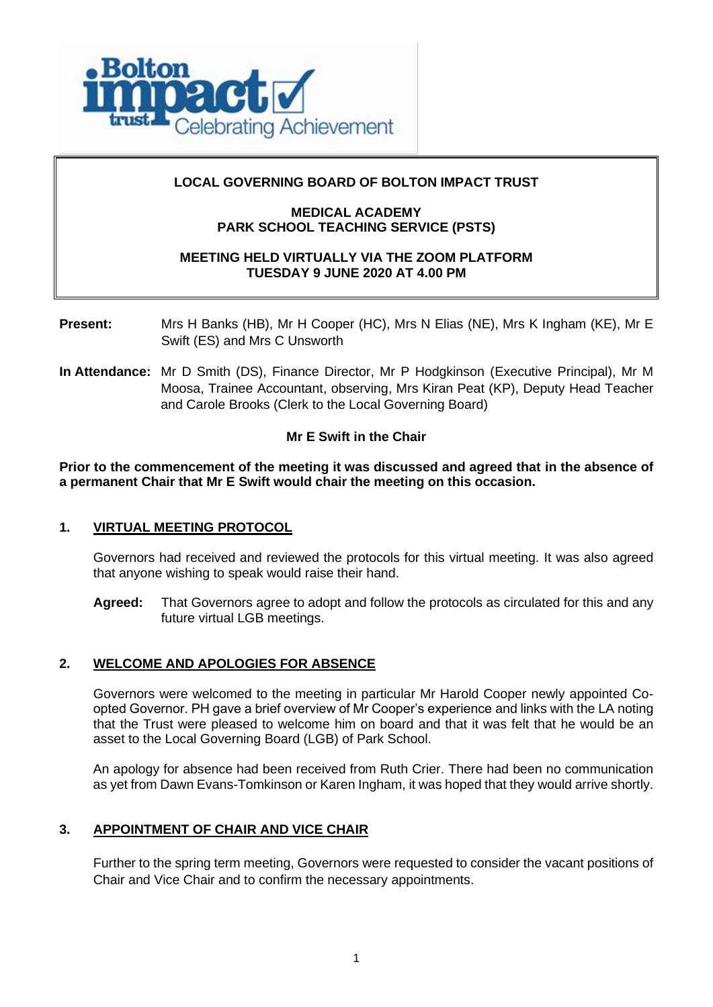

### **LOCAL GOVERNING BOARD OF BOLTON IMPACT TRUST**

### **MEDICAL ACADEMY PARK SCHOOL TEACHING SERVICE (PSTS)**

## **MEETING HELD VIRTUALLY VIA THE ZOOM PLATFORM TUESDAY 9 JUNE 2020 AT 4.00 PM**

- **Present:** Mrs H Banks (HB), Mr H Cooper (HC), Mrs N Elias (NE), Mrs K Ingham (KE), Mr E Swift (ES) and Mrs C Unsworth
- **In Attendance:** Mr D Smith (DS), Finance Director, Mr P Hodgkinson (Executive Principal), Mr M Moosa, Trainee Accountant, observing, Mrs Kiran Peat (KP), Deputy Head Teacher and Carole Brooks (Clerk to the Local Governing Board)

## **Mr E Swift in the Chair**

**Prior to the commencement of the meeting it was discussed and agreed that in the absence of a permanent Chair that Mr E Swift would chair the meeting on this occasion.**

### **1. VIRTUAL MEETING PROTOCOL**

Governors had received and reviewed the protocols for this virtual meeting. It was also agreed that anyone wishing to speak would raise their hand.

**Agreed:** That Governors agree to adopt and follow the protocols as circulated for this and any future virtual LGB meetings.

### **2. WELCOME AND APOLOGIES FOR ABSENCE**

Governors were welcomed to the meeting in particular Mr Harold Cooper newly appointed Coopted Governor. PH gave a brief overview of Mr Cooper's experience and links with the LA noting that the Trust were pleased to welcome him on board and that it was felt that he would be an asset to the Local Governing Board (LGB) of Park School.

An apology for absence had been received from Ruth Crier. There had been no communication as yet from Dawn Evans-Tomkinson or Karen Ingham, it was hoped that they would arrive shortly.

### **3. APPOINTMENT OF CHAIR AND VICE CHAIR**

Further to the spring term meeting, Governors were requested to consider the vacant positions of Chair and Vice Chair and to confirm the necessary appointments.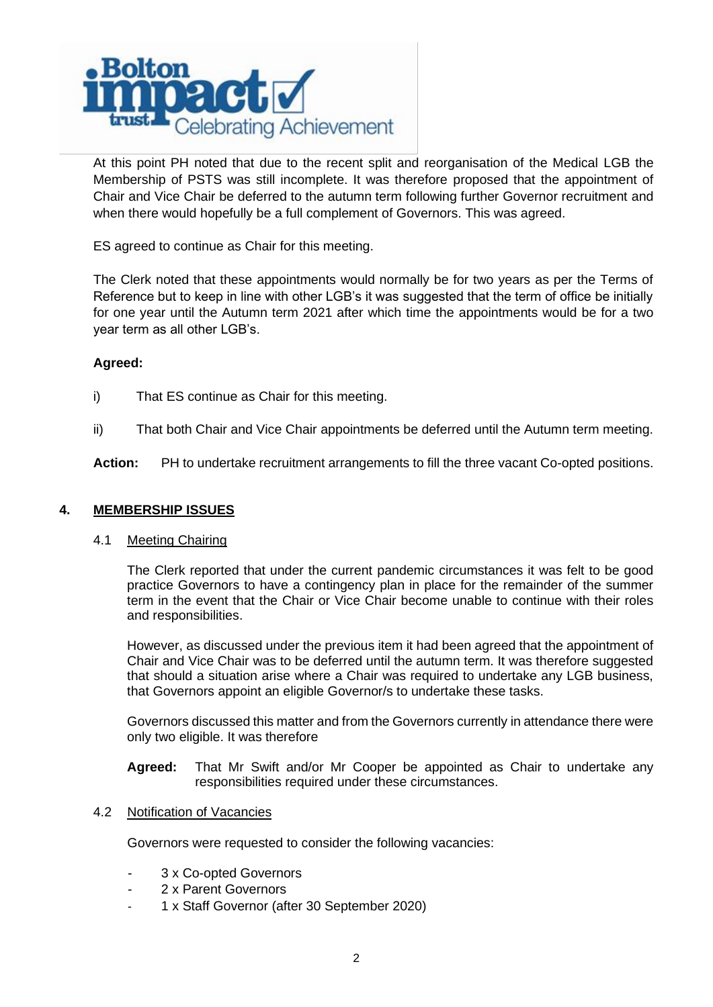

At this point PH noted that due to the recent split and reorganisation of the Medical LGB the Membership of PSTS was still incomplete. It was therefore proposed that the appointment of Chair and Vice Chair be deferred to the autumn term following further Governor recruitment and when there would hopefully be a full complement of Governors. This was agreed.

ES agreed to continue as Chair for this meeting.

The Clerk noted that these appointments would normally be for two years as per the Terms of Reference but to keep in line with other LGB's it was suggested that the term of office be initially for one year until the Autumn term 2021 after which time the appointments would be for a two year term as all other LGB's.

#### **Agreed:**

- i) That ES continue as Chair for this meeting.
- ii) That both Chair and Vice Chair appointments be deferred until the Autumn term meeting.

**Action:** PH to undertake recruitment arrangements to fill the three vacant Co-opted positions.

#### **4. MEMBERSHIP ISSUES**

#### 4.1 Meeting Chairing

The Clerk reported that under the current pandemic circumstances it was felt to be good practice Governors to have a contingency plan in place for the remainder of the summer term in the event that the Chair or Vice Chair become unable to continue with their roles and responsibilities.

However, as discussed under the previous item it had been agreed that the appointment of Chair and Vice Chair was to be deferred until the autumn term. It was therefore suggested that should a situation arise where a Chair was required to undertake any LGB business, that Governors appoint an eligible Governor/s to undertake these tasks.

Governors discussed this matter and from the Governors currently in attendance there were only two eligible. It was therefore

**Agreed:** That Mr Swift and/or Mr Cooper be appointed as Chair to undertake any responsibilities required under these circumstances.

### 4.2 Notification of Vacancies

Governors were requested to consider the following vacancies:

- 3 x Co-opted Governors
- 2 x Parent Governors
- 1 x Staff Governor (after 30 September 2020)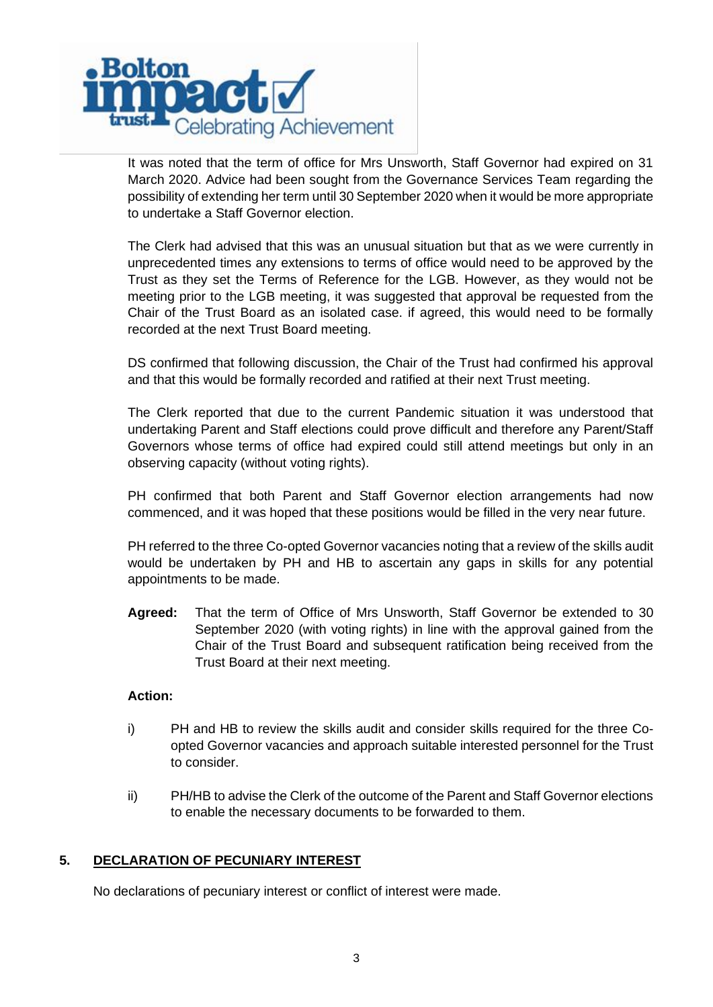

It was noted that the term of office for Mrs Unsworth, Staff Governor had expired on 31 March 2020. Advice had been sought from the Governance Services Team regarding the possibility of extending her term until 30 September 2020 when it would be more appropriate to undertake a Staff Governor election.

The Clerk had advised that this was an unusual situation but that as we were currently in unprecedented times any extensions to terms of office would need to be approved by the Trust as they set the Terms of Reference for the LGB. However, as they would not be meeting prior to the LGB meeting, it was suggested that approval be requested from the Chair of the Trust Board as an isolated case. if agreed, this would need to be formally recorded at the next Trust Board meeting.

DS confirmed that following discussion, the Chair of the Trust had confirmed his approval and that this would be formally recorded and ratified at their next Trust meeting.

The Clerk reported that due to the current Pandemic situation it was understood that undertaking Parent and Staff elections could prove difficult and therefore any Parent/Staff Governors whose terms of office had expired could still attend meetings but only in an observing capacity (without voting rights).

PH confirmed that both Parent and Staff Governor election arrangements had now commenced, and it was hoped that these positions would be filled in the very near future.

PH referred to the three Co-opted Governor vacancies noting that a review of the skills audit would be undertaken by PH and HB to ascertain any gaps in skills for any potential appointments to be made.

**Agreed:** That the term of Office of Mrs Unsworth, Staff Governor be extended to 30 September 2020 (with voting rights) in line with the approval gained from the Chair of the Trust Board and subsequent ratification being received from the Trust Board at their next meeting.

### **Action:**

- i) PH and HB to review the skills audit and consider skills required for the three Coopted Governor vacancies and approach suitable interested personnel for the Trust to consider.
- ii) PH/HB to advise the Clerk of the outcome of the Parent and Staff Governor elections to enable the necessary documents to be forwarded to them.

# **5. DECLARATION OF PECUNIARY INTEREST**

No declarations of pecuniary interest or conflict of interest were made.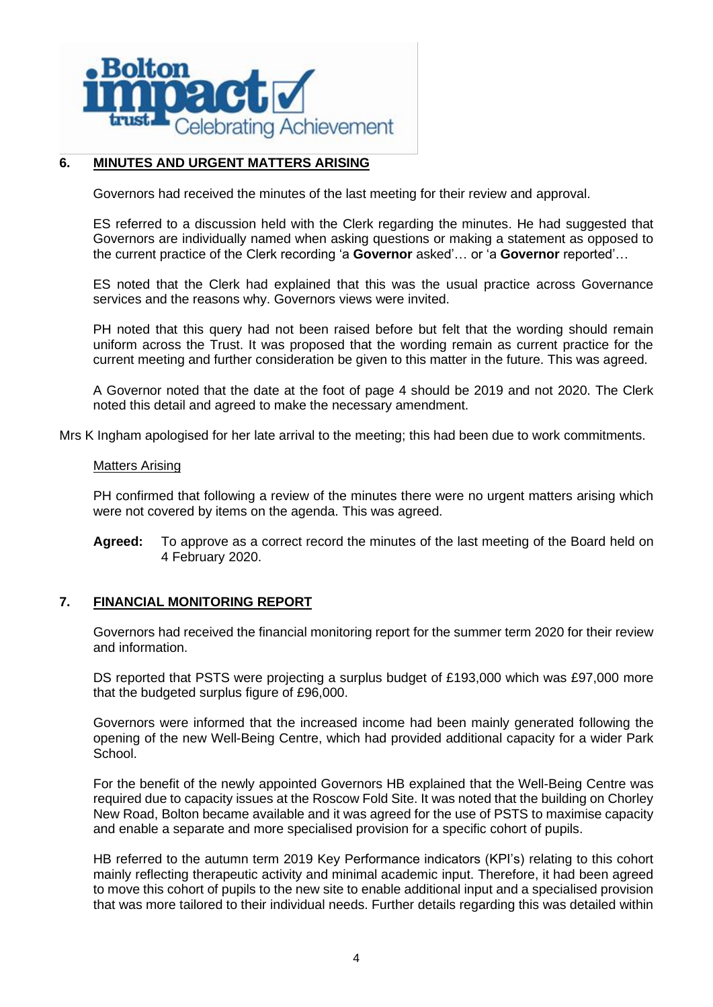

## **6. MINUTES AND URGENT MATTERS ARISING**

Governors had received the minutes of the last meeting for their review and approval.

ES referred to a discussion held with the Clerk regarding the minutes. He had suggested that Governors are individually named when asking questions or making a statement as opposed to the current practice of the Clerk recording 'a **Governor** asked'… or 'a **Governor** reported'…

ES noted that the Clerk had explained that this was the usual practice across Governance services and the reasons why. Governors views were invited.

PH noted that this query had not been raised before but felt that the wording should remain uniform across the Trust. It was proposed that the wording remain as current practice for the current meeting and further consideration be given to this matter in the future. This was agreed.

A Governor noted that the date at the foot of page 4 should be 2019 and not 2020. The Clerk noted this detail and agreed to make the necessary amendment.

Mrs K Ingham apologised for her late arrival to the meeting; this had been due to work commitments.

#### Matters Arising

PH confirmed that following a review of the minutes there were no urgent matters arising which were not covered by items on the agenda. This was agreed.

**Agreed:** To approve as a correct record the minutes of the last meeting of the Board held on 4 February 2020.

### **7. FINANCIAL MONITORING REPORT**

Governors had received the financial monitoring report for the summer term 2020 for their review and information.

DS reported that PSTS were projecting a surplus budget of £193,000 which was £97,000 more that the budgeted surplus figure of £96,000.

Governors were informed that the increased income had been mainly generated following the opening of the new Well-Being Centre, which had provided additional capacity for a wider Park School.

For the benefit of the newly appointed Governors HB explained that the Well-Being Centre was required due to capacity issues at the Roscow Fold Site. It was noted that the building on Chorley New Road, Bolton became available and it was agreed for the use of PSTS to maximise capacity and enable a separate and more specialised provision for a specific cohort of pupils.

HB referred to the autumn term 2019 Key Performance indicators (KPI's) relating to this cohort mainly reflecting therapeutic activity and minimal academic input. Therefore, it had been agreed to move this cohort of pupils to the new site to enable additional input and a specialised provision that was more tailored to their individual needs. Further details regarding this was detailed within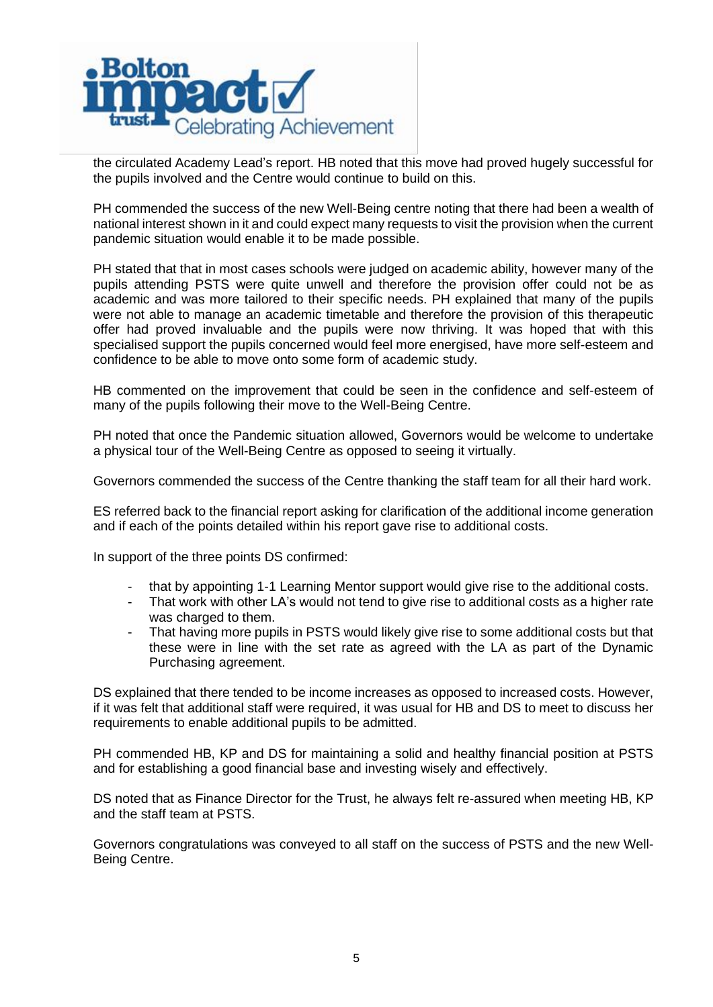

the circulated Academy Lead's report. HB noted that this move had proved hugely successful for the pupils involved and the Centre would continue to build on this.

PH commended the success of the new Well-Being centre noting that there had been a wealth of national interest shown in it and could expect many requests to visit the provision when the current pandemic situation would enable it to be made possible.

PH stated that that in most cases schools were judged on academic ability, however many of the pupils attending PSTS were quite unwell and therefore the provision offer could not be as academic and was more tailored to their specific needs. PH explained that many of the pupils were not able to manage an academic timetable and therefore the provision of this therapeutic offer had proved invaluable and the pupils were now thriving. It was hoped that with this specialised support the pupils concerned would feel more energised, have more self-esteem and confidence to be able to move onto some form of academic study.

HB commented on the improvement that could be seen in the confidence and self-esteem of many of the pupils following their move to the Well-Being Centre.

PH noted that once the Pandemic situation allowed, Governors would be welcome to undertake a physical tour of the Well-Being Centre as opposed to seeing it virtually.

Governors commended the success of the Centre thanking the staff team for all their hard work.

ES referred back to the financial report asking for clarification of the additional income generation and if each of the points detailed within his report gave rise to additional costs.

In support of the three points DS confirmed:

- that by appointing 1-1 Learning Mentor support would give rise to the additional costs.
- That work with other LA's would not tend to give rise to additional costs as a higher rate was charged to them.
- That having more pupils in PSTS would likely give rise to some additional costs but that these were in line with the set rate as agreed with the LA as part of the Dynamic Purchasing agreement.

DS explained that there tended to be income increases as opposed to increased costs. However, if it was felt that additional staff were required, it was usual for HB and DS to meet to discuss her requirements to enable additional pupils to be admitted.

PH commended HB, KP and DS for maintaining a solid and healthy financial position at PSTS and for establishing a good financial base and investing wisely and effectively.

DS noted that as Finance Director for the Trust, he always felt re-assured when meeting HB, KP and the staff team at PSTS.

Governors congratulations was conveyed to all staff on the success of PSTS and the new Well-Being Centre.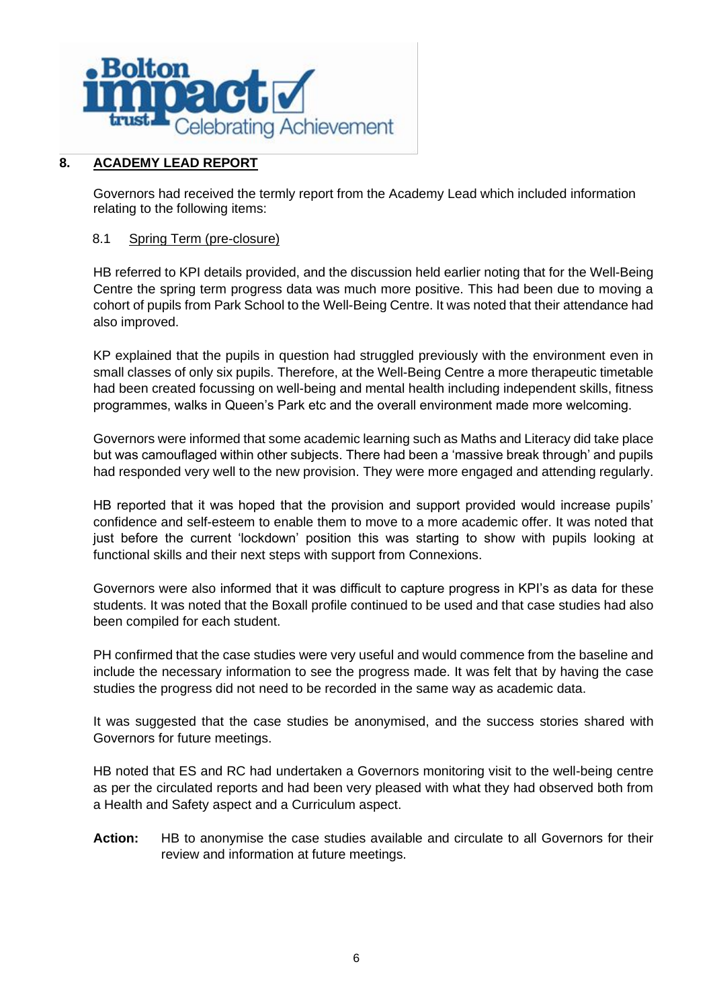

## **8. ACADEMY LEAD REPORT**

Governors had received the termly report from the Academy Lead which included information relating to the following items:

### 8.1 Spring Term (pre-closure)

HB referred to KPI details provided, and the discussion held earlier noting that for the Well-Being Centre the spring term progress data was much more positive. This had been due to moving a cohort of pupils from Park School to the Well-Being Centre. It was noted that their attendance had also improved.

KP explained that the pupils in question had struggled previously with the environment even in small classes of only six pupils. Therefore, at the Well-Being Centre a more therapeutic timetable had been created focussing on well-being and mental health including independent skills, fitness programmes, walks in Queen's Park etc and the overall environment made more welcoming.

Governors were informed that some academic learning such as Maths and Literacy did take place but was camouflaged within other subjects. There had been a 'massive break through' and pupils had responded very well to the new provision. They were more engaged and attending regularly.

HB reported that it was hoped that the provision and support provided would increase pupils' confidence and self-esteem to enable them to move to a more academic offer. It was noted that just before the current 'lockdown' position this was starting to show with pupils looking at functional skills and their next steps with support from Connexions.

Governors were also informed that it was difficult to capture progress in KPI's as data for these students. It was noted that the Boxall profile continued to be used and that case studies had also been compiled for each student.

PH confirmed that the case studies were very useful and would commence from the baseline and include the necessary information to see the progress made. It was felt that by having the case studies the progress did not need to be recorded in the same way as academic data.

It was suggested that the case studies be anonymised, and the success stories shared with Governors for future meetings.

HB noted that ES and RC had undertaken a Governors monitoring visit to the well-being centre as per the circulated reports and had been very pleased with what they had observed both from a Health and Safety aspect and a Curriculum aspect.

**Action:** HB to anonymise the case studies available and circulate to all Governors for their review and information at future meetings.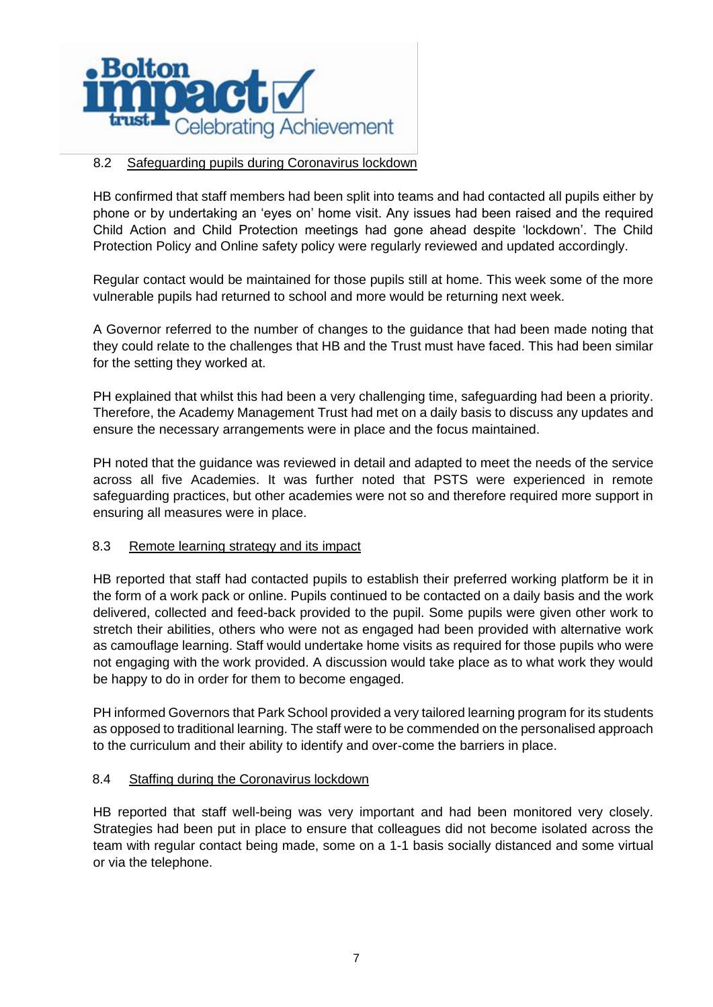

## 8.2 Safeguarding pupils during Coronavirus lockdown

HB confirmed that staff members had been split into teams and had contacted all pupils either by phone or by undertaking an 'eyes on' home visit. Any issues had been raised and the required Child Action and Child Protection meetings had gone ahead despite 'lockdown'. The Child Protection Policy and Online safety policy were regularly reviewed and updated accordingly.

Regular contact would be maintained for those pupils still at home. This week some of the more vulnerable pupils had returned to school and more would be returning next week.

A Governor referred to the number of changes to the guidance that had been made noting that they could relate to the challenges that HB and the Trust must have faced. This had been similar for the setting they worked at.

PH explained that whilst this had been a very challenging time, safeguarding had been a priority. Therefore, the Academy Management Trust had met on a daily basis to discuss any updates and ensure the necessary arrangements were in place and the focus maintained.

PH noted that the guidance was reviewed in detail and adapted to meet the needs of the service across all five Academies. It was further noted that PSTS were experienced in remote safeguarding practices, but other academies were not so and therefore required more support in ensuring all measures were in place.

### 8.3 Remote learning strategy and its impact

HB reported that staff had contacted pupils to establish their preferred working platform be it in the form of a work pack or online. Pupils continued to be contacted on a daily basis and the work delivered, collected and feed-back provided to the pupil. Some pupils were given other work to stretch their abilities, others who were not as engaged had been provided with alternative work as camouflage learning. Staff would undertake home visits as required for those pupils who were not engaging with the work provided. A discussion would take place as to what work they would be happy to do in order for them to become engaged.

PH informed Governors that Park School provided a very tailored learning program for its students as opposed to traditional learning. The staff were to be commended on the personalised approach to the curriculum and their ability to identify and over-come the barriers in place.

### 8.4 Staffing during the Coronavirus lockdown

HB reported that staff well-being was very important and had been monitored very closely. Strategies had been put in place to ensure that colleagues did not become isolated across the team with regular contact being made, some on a 1-1 basis socially distanced and some virtual or via the telephone.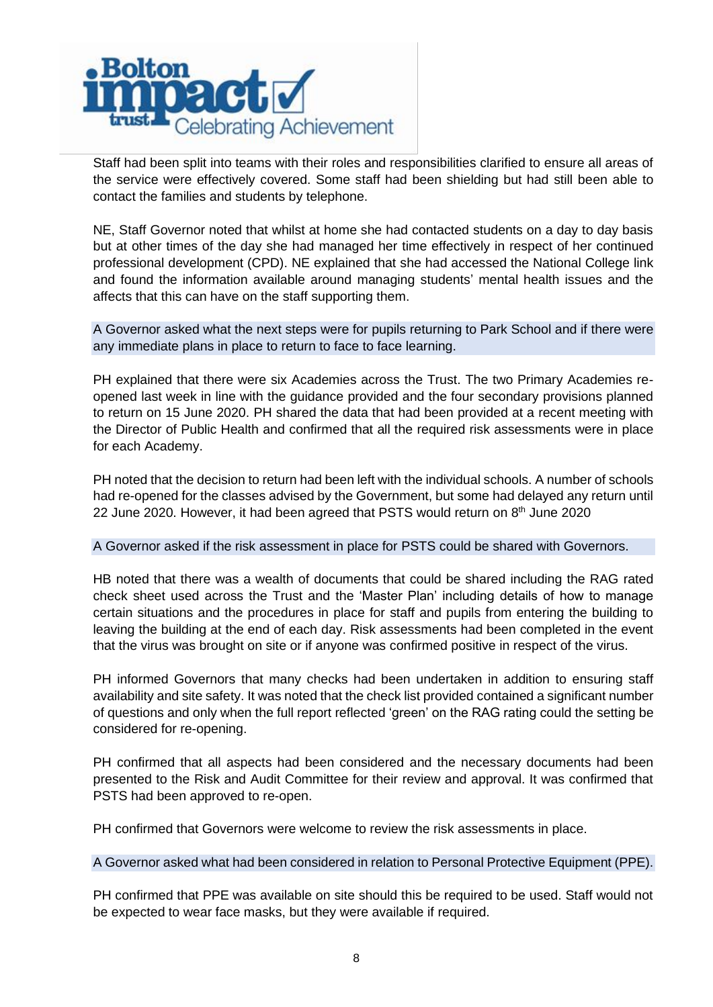

Staff had been split into teams with their roles and responsibilities clarified to ensure all areas of the service were effectively covered. Some staff had been shielding but had still been able to contact the families and students by telephone.

NE, Staff Governor noted that whilst at home she had contacted students on a day to day basis but at other times of the day she had managed her time effectively in respect of her continued professional development (CPD). NE explained that she had accessed the National College link and found the information available around managing students' mental health issues and the affects that this can have on the staff supporting them.

A Governor asked what the next steps were for pupils returning to Park School and if there were any immediate plans in place to return to face to face learning.

PH explained that there were six Academies across the Trust. The two Primary Academies reopened last week in line with the guidance provided and the four secondary provisions planned to return on 15 June 2020. PH shared the data that had been provided at a recent meeting with the Director of Public Health and confirmed that all the required risk assessments were in place for each Academy.

PH noted that the decision to return had been left with the individual schools. A number of schools had re-opened for the classes advised by the Government, but some had delayed any return until 22 June 2020. However, it had been agreed that PSTS would return on 8<sup>th</sup> June 2020

#### A Governor asked if the risk assessment in place for PSTS could be shared with Governors.

HB noted that there was a wealth of documents that could be shared including the RAG rated check sheet used across the Trust and the 'Master Plan' including details of how to manage certain situations and the procedures in place for staff and pupils from entering the building to leaving the building at the end of each day. Risk assessments had been completed in the event that the virus was brought on site or if anyone was confirmed positive in respect of the virus.

PH informed Governors that many checks had been undertaken in addition to ensuring staff availability and site safety. It was noted that the check list provided contained a significant number of questions and only when the full report reflected 'green' on the RAG rating could the setting be considered for re-opening.

PH confirmed that all aspects had been considered and the necessary documents had been presented to the Risk and Audit Committee for their review and approval. It was confirmed that PSTS had been approved to re-open.

PH confirmed that Governors were welcome to review the risk assessments in place.

### A Governor asked what had been considered in relation to Personal Protective Equipment (PPE).

PH confirmed that PPE was available on site should this be required to be used. Staff would not be expected to wear face masks, but they were available if required.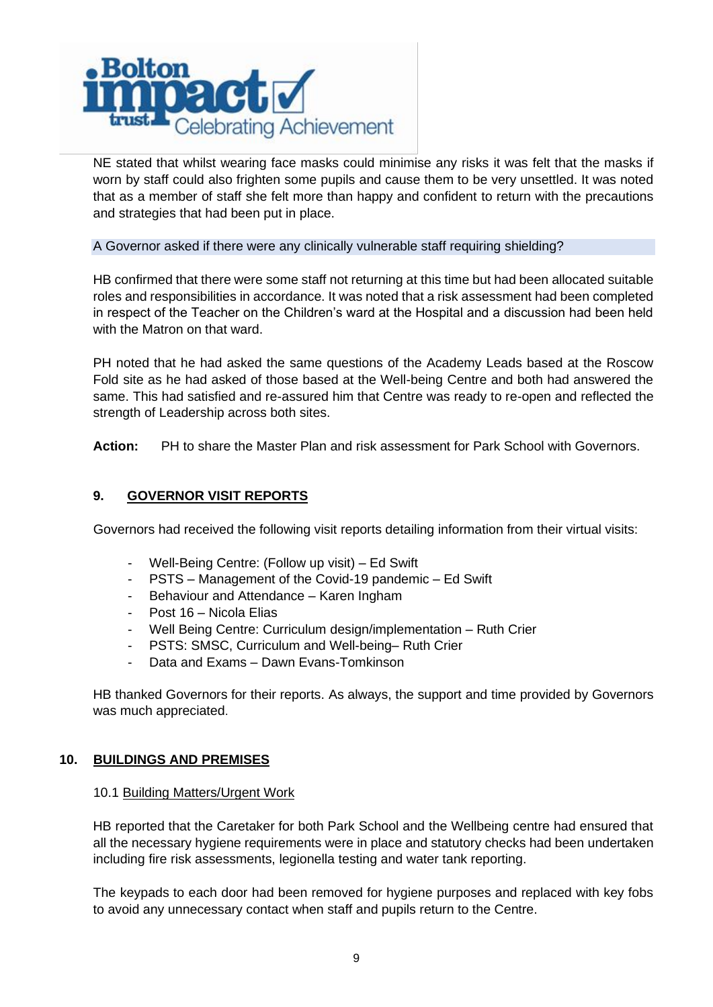

NE stated that whilst wearing face masks could minimise any risks it was felt that the masks if worn by staff could also frighten some pupils and cause them to be very unsettled. It was noted that as a member of staff she felt more than happy and confident to return with the precautions and strategies that had been put in place.

A Governor asked if there were any clinically vulnerable staff requiring shielding?

HB confirmed that there were some staff not returning at this time but had been allocated suitable roles and responsibilities in accordance. It was noted that a risk assessment had been completed in respect of the Teacher on the Children's ward at the Hospital and a discussion had been held with the Matron on that ward.

PH noted that he had asked the same questions of the Academy Leads based at the Roscow Fold site as he had asked of those based at the Well-being Centre and both had answered the same. This had satisfied and re-assured him that Centre was ready to re-open and reflected the strength of Leadership across both sites.

**Action:** PH to share the Master Plan and risk assessment for Park School with Governors.

### **9. GOVERNOR VISIT REPORTS**

Governors had received the following visit reports detailing information from their virtual visits:

- Well-Being Centre: (Follow up visit) Ed Swift
- PSTS Management of the Covid-19 pandemic Ed Swift
- Behaviour and Attendance Karen Ingham
- Post 16 Nicola Elias
- Well Being Centre: Curriculum design/implementation Ruth Crier
- PSTS: SMSC, Curriculum and Well-being– Ruth Crier
- Data and Exams Dawn Evans-Tomkinson

HB thanked Governors for their reports. As always, the support and time provided by Governors was much appreciated.

### **10. BUILDINGS AND PREMISES**

#### 10.1 Building Matters/Urgent Work

HB reported that the Caretaker for both Park School and the Wellbeing centre had ensured that all the necessary hygiene requirements were in place and statutory checks had been undertaken including fire risk assessments, legionella testing and water tank reporting.

The keypads to each door had been removed for hygiene purposes and replaced with key fobs to avoid any unnecessary contact when staff and pupils return to the Centre.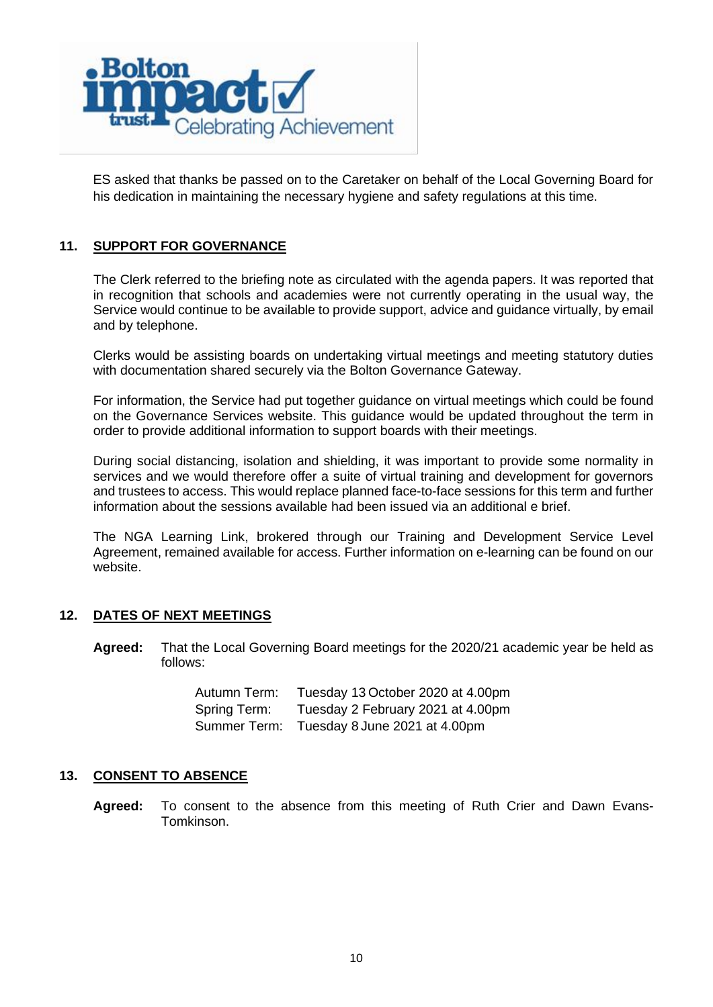

ES asked that thanks be passed on to the Caretaker on behalf of the Local Governing Board for his dedication in maintaining the necessary hygiene and safety regulations at this time.

### **11. SUPPORT FOR GOVERNANCE**

The Clerk referred to the briefing note as circulated with the agenda papers. It was reported that in recognition that schools and academies were not currently operating in the usual way, the Service would continue to be available to provide support, advice and guidance virtually, by email and by telephone.

Clerks would be assisting boards on undertaking virtual meetings and meeting statutory duties with documentation shared securely via the Bolton Governance Gateway.

For information, the Service had put together guidance on virtual meetings which could be found on the Governance Services website. This guidance would be updated throughout the term in order to provide additional information to support boards with their meetings.

During social distancing, isolation and shielding, it was important to provide some normality in services and we would therefore offer a suite of virtual training and development for governors and trustees to access. This would replace planned face-to-face sessions for this term and further information about the sessions available had been issued via an additional e brief.

The NGA Learning Link, brokered through our Training and Development Service Level Agreement, remained available for access. Further information on e-learning can be found on our website.

### **12. DATES OF NEXT MEETINGS**

**Agreed:** That the Local Governing Board meetings for the 2020/21 academic year be held as follows:

| Autumn Term: | Tuesday 13 October 2020 at 4.00pm |
|--------------|-----------------------------------|
| Spring Term: | Tuesday 2 February 2021 at 4.00pm |
| Summer Term: | Tuesday 8 June 2021 at 4.00pm     |

### **13. CONSENT TO ABSENCE**

**Agreed:** To consent to the absence from this meeting of Ruth Crier and Dawn Evans-Tomkinson.